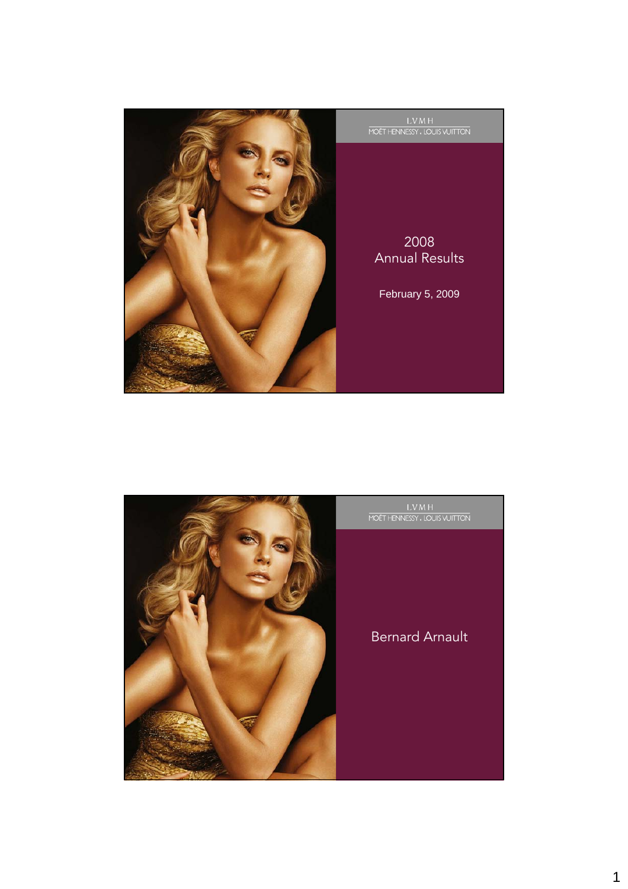

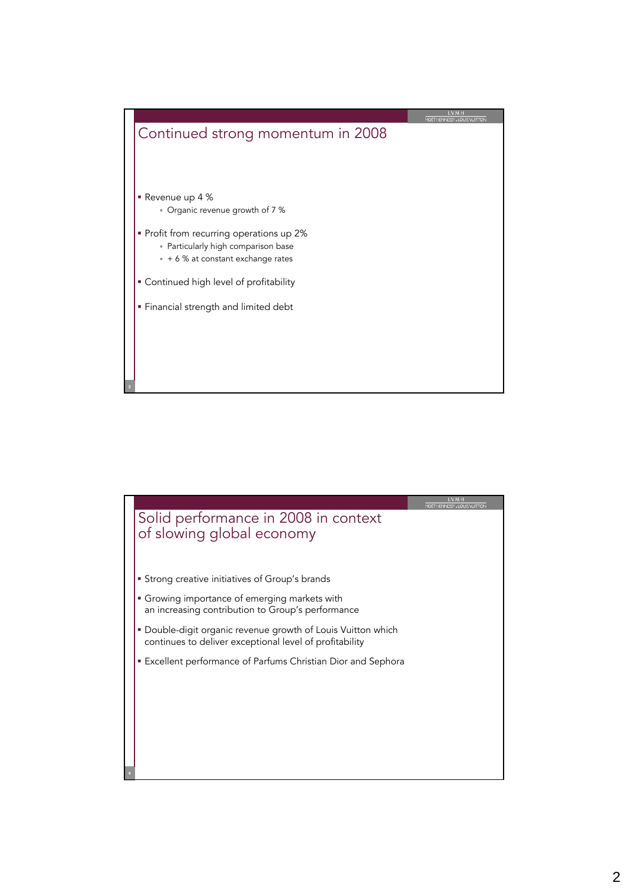

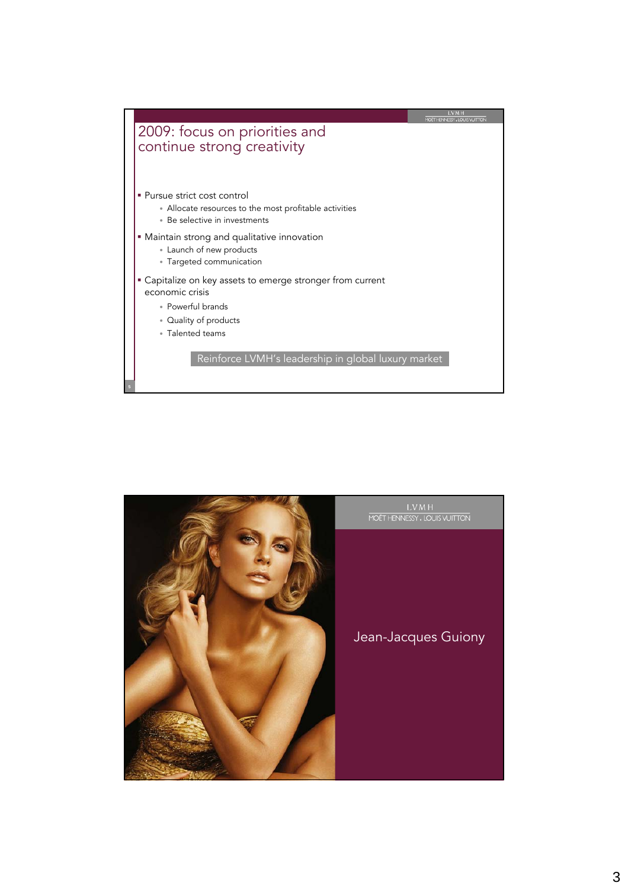

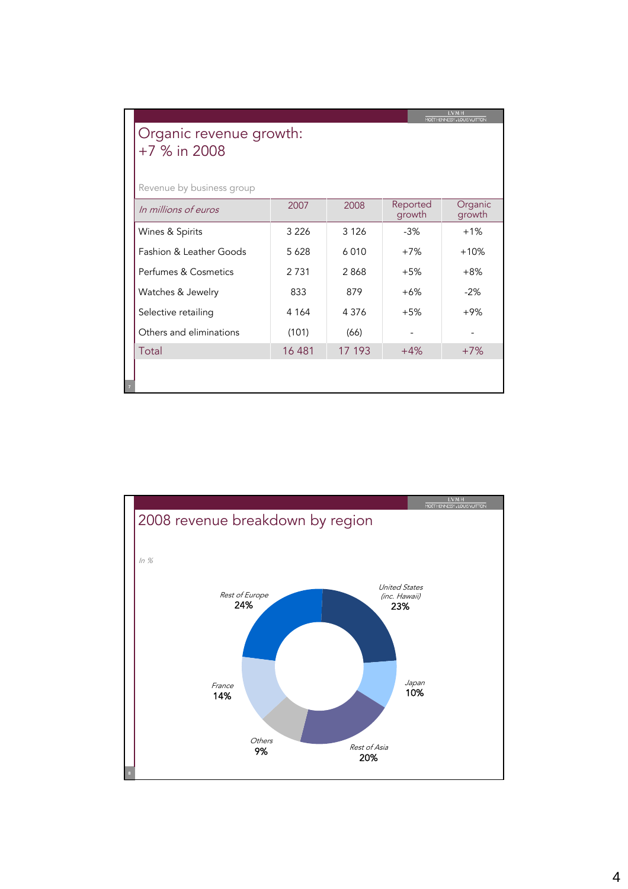| MOET HENNESSY, LOUIS VUITTON<br>Organic revenue growth:<br>+7 % in 2008                                      |         |         |       |        |  |
|--------------------------------------------------------------------------------------------------------------|---------|---------|-------|--------|--|
| Revenue by business group<br>Reported<br>Organic<br>2008<br>2007<br>In millions of euros<br>growth<br>growth |         |         |       |        |  |
| Wines & Spirits                                                                                              | 3 2 2 6 | 3 1 2 6 | $-3%$ | $+1\%$ |  |
| Fashion & Leather Goods                                                                                      | 5 6 2 8 | 6010    | $+7%$ | $+10%$ |  |
| Perfumes & Cosmetics                                                                                         | 2 7 3 1 | 2868    | $+5%$ | $+8%$  |  |
| Watches & Jewelry                                                                                            | 833     | 879     | $+6%$ | $-2%$  |  |
| Selective retailing                                                                                          | 4 1 6 4 | 4 3 7 6 | $+5%$ | $+9%$  |  |
| Others and eliminations                                                                                      | (101)   | (66)    |       |        |  |
| Total                                                                                                        | 16 481  | 17 193  | $+4%$ | $+7%$  |  |
|                                                                                                              |         |         |       |        |  |

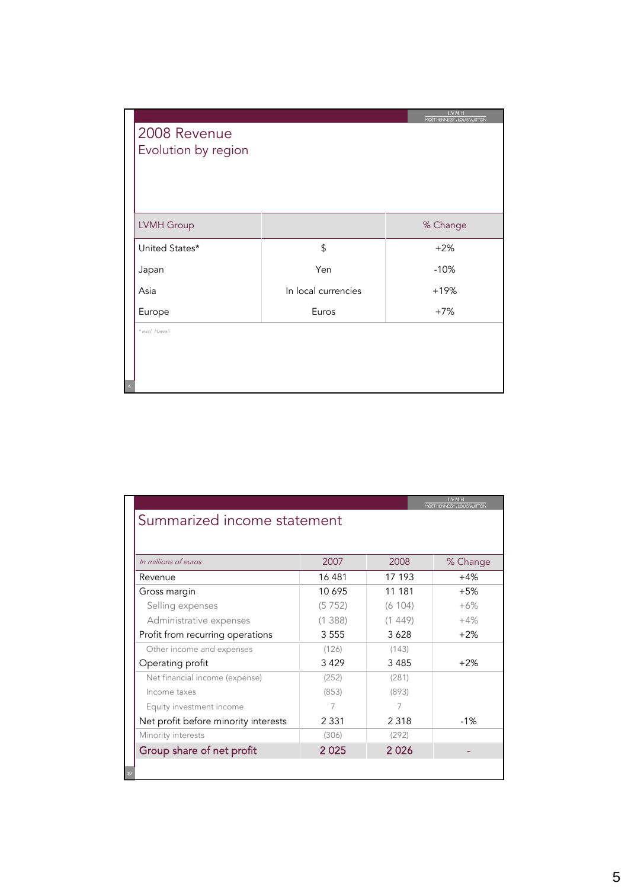| 2008 Revenue<br>Evolution by region |                     | <b>LVMH</b><br>MOET HENNESSY, LOUIS VUITTON |
|-------------------------------------|---------------------|---------------------------------------------|
| LVMH Group                          |                     | % Change                                    |
| United States*                      | \$                  | $+2%$                                       |
| Japan                               | Yen                 | $-10%$                                      |
| Asia                                | In local currencies | $+19%$                                      |
| Europe                              | Euros               | $+7%$                                       |
| * excl. Hawaii                      |                     |                                             |
|                                     |                     |                                             |

|                                      |              |         | <b>LVMH</b><br>MOET HENNESSY, LOUIS VUITTON |  |  |
|--------------------------------------|--------------|---------|---------------------------------------------|--|--|
| Summarized income statement          |              |         |                                             |  |  |
|                                      |              |         |                                             |  |  |
|                                      |              |         |                                             |  |  |
| In millions of euros                 | 2007<br>2008 |         |                                             |  |  |
| Revenue                              | 16481        | 17 193  | $+4%$                                       |  |  |
| Gross margin                         | 10 695       | 11 181  | $+5%$                                       |  |  |
| Selling expenses                     | (5752)       | (6 104) | $+6%$                                       |  |  |
| Administrative expenses              | (1388)       | (1449)  | $+4%$                                       |  |  |
| Profit from recurring operations     | 3 5 5 5      | 3628    | $+2%$                                       |  |  |
| Other income and expenses            | (126)        | (143)   |                                             |  |  |
| Operating profit                     | 3429         | 3 4 8 5 | $+2%$                                       |  |  |
| Net financial income (expense)       | (252)        | (281)   |                                             |  |  |
| Income taxes                         | (853)        | (893)   |                                             |  |  |
| Equity investment income             | 7            | 7       |                                             |  |  |
| Net profit before minority interests | 2 3 3 1      | 2 3 1 8 | $-1%$                                       |  |  |
| Minority interests                   | (306)        | (292)   |                                             |  |  |
| Group share of net profit            | 2025         | 2026    |                                             |  |  |
|                                      |              |         |                                             |  |  |
| 10                                   |              |         |                                             |  |  |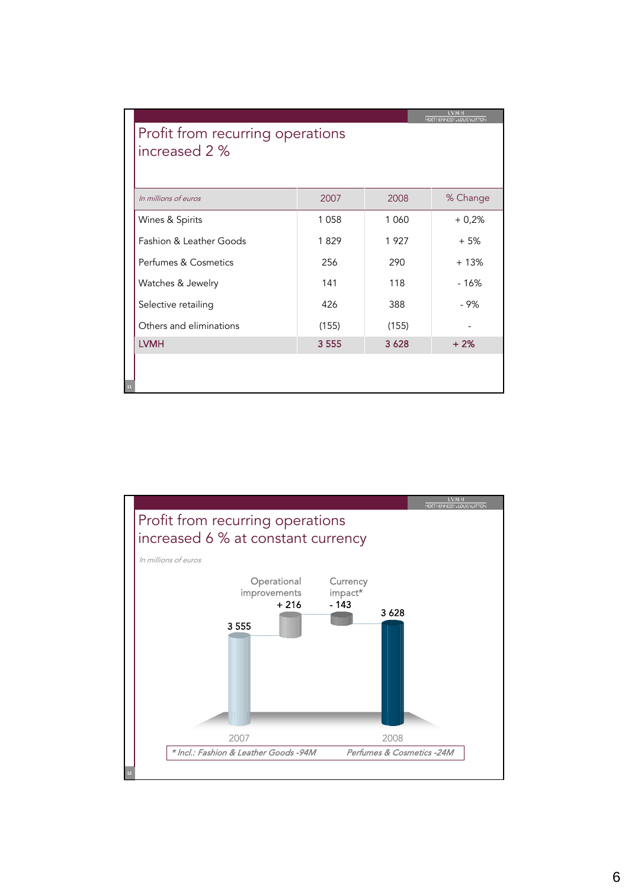| MOET HENNESSY, LOUIS VUITTON<br>Profit from recurring operations<br>increased 2 % |         |        |                          |  |
|-----------------------------------------------------------------------------------|---------|--------|--------------------------|--|
| In millions of euros                                                              | 2007    | 2008   | % Change                 |  |
| Wines & Spirits                                                                   | 1 0 5 8 | 1 060  | $+0,2%$                  |  |
| Fashion & Leather Goods                                                           | 1829    | 1927   | $+5%$                    |  |
| Perfumes & Cosmetics                                                              | 256     | 290    | $+13%$                   |  |
| Watches & Jewelry                                                                 | 141     | 118    | $-16%$                   |  |
| Selective retailing                                                               | 426     | 388    | - 9%                     |  |
| Others and eliminations                                                           | (155)   | (155)  | $\overline{\phantom{a}}$ |  |
| <b>LVMH</b>                                                                       | 3 5 5 5 | 3 6 28 | $+2%$                    |  |
|                                                                                   |         |        |                          |  |
| 11                                                                                |         |        |                          |  |

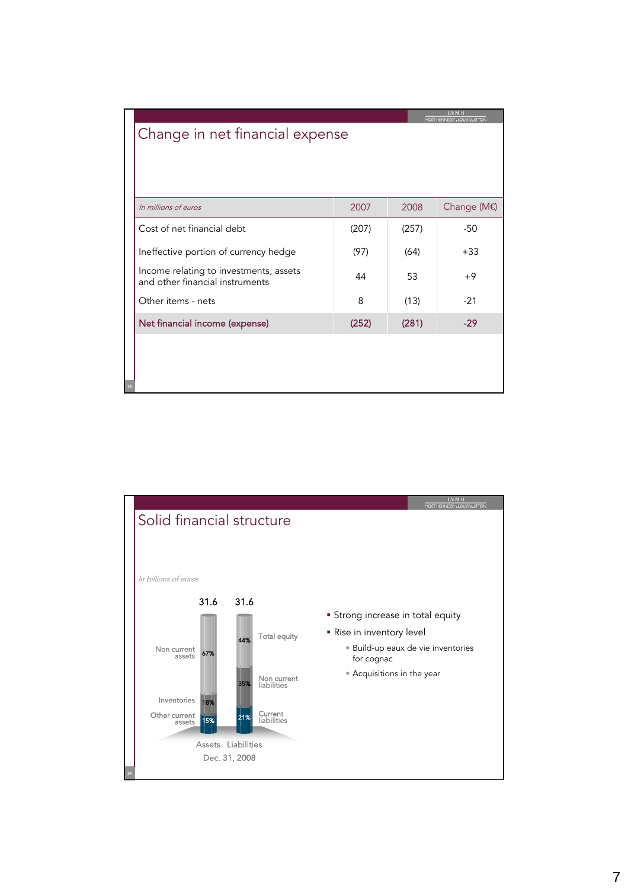|                                 |                                                                           |       | LVM H<br>MOET HENNESSY, LOUIS VUITTON |                        |  |
|---------------------------------|---------------------------------------------------------------------------|-------|---------------------------------------|------------------------|--|
| Change in net financial expense |                                                                           |       |                                       |                        |  |
|                                 |                                                                           |       |                                       |                        |  |
|                                 |                                                                           |       |                                       |                        |  |
|                                 |                                                                           |       |                                       |                        |  |
|                                 | In millions of euros                                                      | 2007  | 2008                                  | Change ( $M \bigoplus$ |  |
|                                 | Cost of net financial debt                                                | (207) | (257)                                 | $-50$                  |  |
|                                 | Ineffective portion of currency hedge                                     | (97)  | (64)                                  | $+33$                  |  |
|                                 | Income relating to investments, assets<br>and other financial instruments | 44    | 53                                    | $+9$                   |  |
|                                 | Other items - nets                                                        | 8     | (13)                                  | $-21$                  |  |
|                                 | Net financial income (expense)                                            | (252) | (281)                                 | $-29$                  |  |
|                                 |                                                                           |       |                                       |                        |  |
|                                 |                                                                           |       |                                       |                        |  |
|                                 |                                                                           |       |                                       |                        |  |

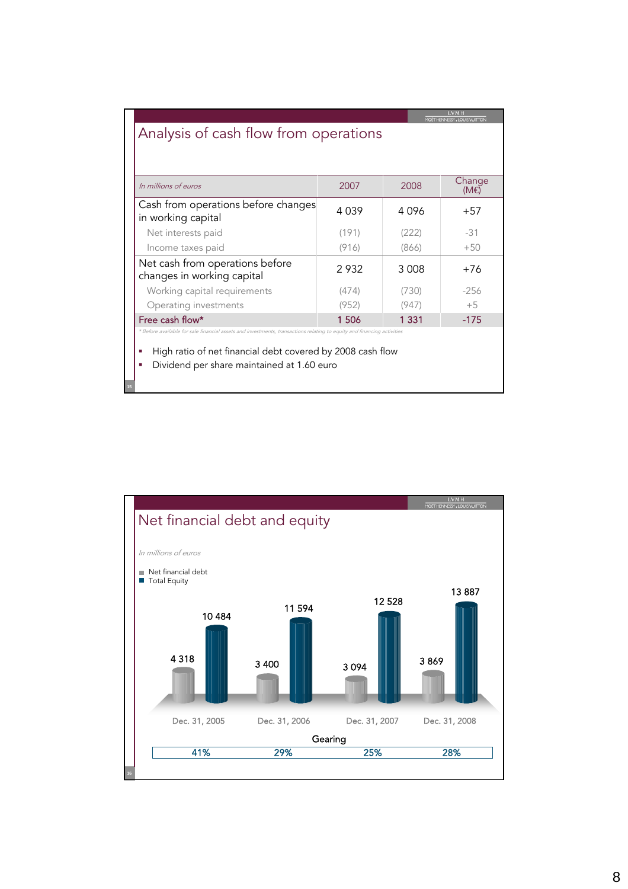| <b>LVMH</b><br>MOET HENNESSY, LOUIS VUITTON<br>Analysis of cash flow from operations                                                                                                                                                         |       |         |                       |  |
|----------------------------------------------------------------------------------------------------------------------------------------------------------------------------------------------------------------------------------------------|-------|---------|-----------------------|--|
| In millions of euros                                                                                                                                                                                                                         | 2007  | 2008    | Change<br>$(M \oplus$ |  |
| Cash from operations before changes<br>in working capital                                                                                                                                                                                    | 4039  | 4 096   | $+57$                 |  |
| Net interests paid                                                                                                                                                                                                                           | (191) | (222)   | $-31$                 |  |
| Income taxes paid                                                                                                                                                                                                                            | (916) | (866)   | $+50$                 |  |
| Net cash from operations before<br>changes in working capital                                                                                                                                                                                | 2932  | 3 0 0 8 | $+76$                 |  |
| Working capital requirements                                                                                                                                                                                                                 | (474) | (730)   | $-256$                |  |
| Operating investments                                                                                                                                                                                                                        | (952) | (947)   | $+5$                  |  |
| Free cash flow*                                                                                                                                                                                                                              | 1506  | 1 3 3 1 | $-175$                |  |
| * Before available for sale financial assets and investments, transactions relating to equity and financing activities<br>High ratio of net financial debt covered by 2008 cash flow<br>×<br>Dividend per share maintained at 1.60 euro<br>п |       |         |                       |  |

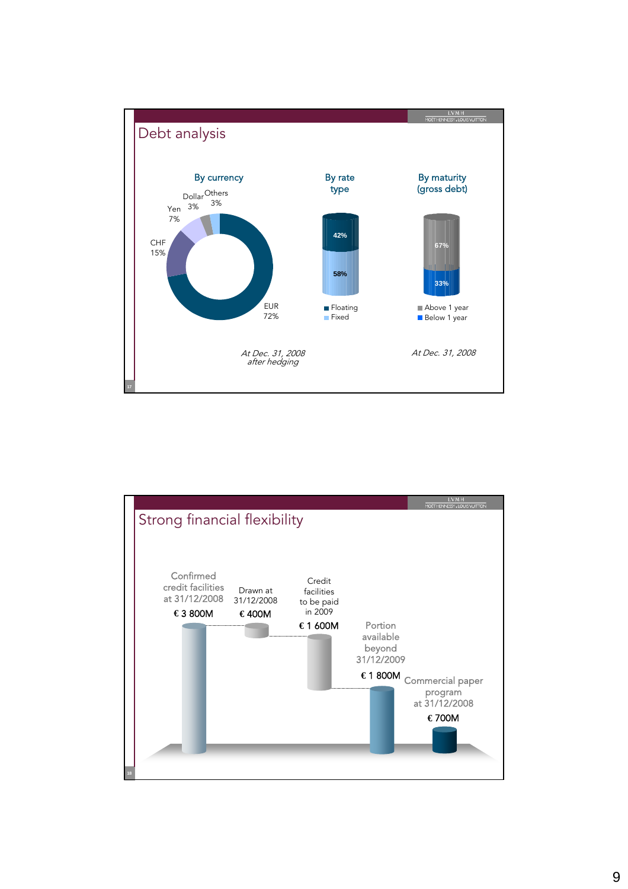

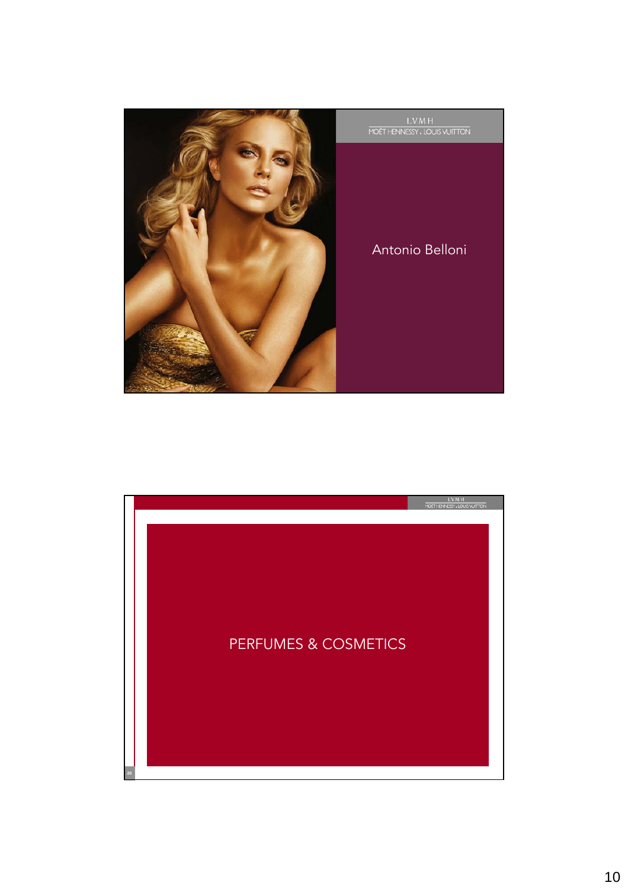

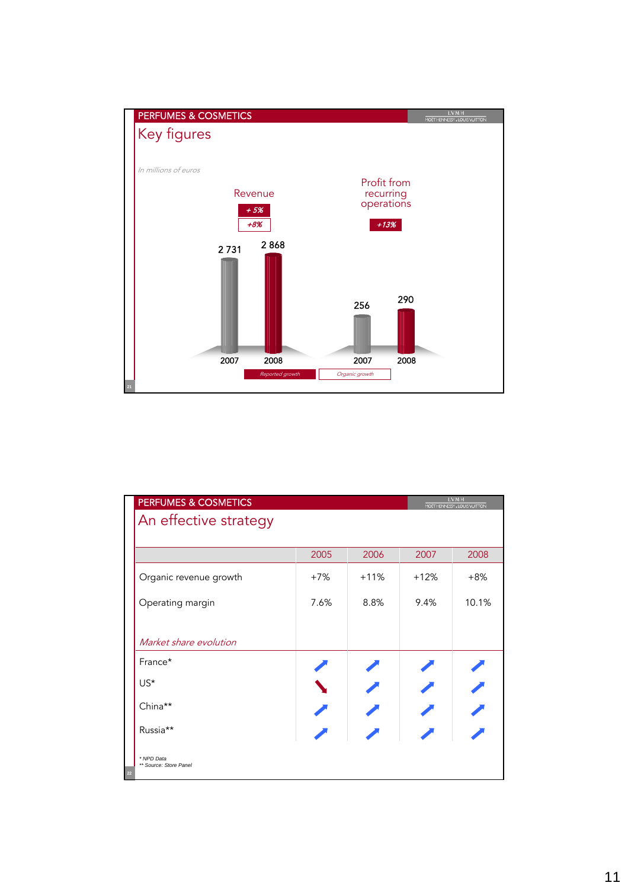

| PERFUMES & COSMETICS                       |        |        |        | <b>LVMH</b><br>MOET HENNESSY, LOUIS VUITTON |
|--------------------------------------------|--------|--------|--------|---------------------------------------------|
| An effective strategy                      |        |        |        |                                             |
|                                            |        |        |        |                                             |
|                                            | 2005   | 2006   | 2007   | 2008                                        |
| Organic revenue growth                     | $+7\%$ | $+11%$ | $+12%$ | $+8%$                                       |
| Operating margin                           | 7.6%   | 8.8%   | 9.4%   | 10.1%                                       |
|                                            |        |        |        |                                             |
| Market share evolution                     |        |        |        |                                             |
| France*                                    |        |        |        |                                             |
| $US^*$                                     |        |        |        |                                             |
| China**                                    |        |        |        |                                             |
| Russia**                                   |        |        |        |                                             |
| * NPD Data<br>** Source: Store Panel<br>22 |        |        |        |                                             |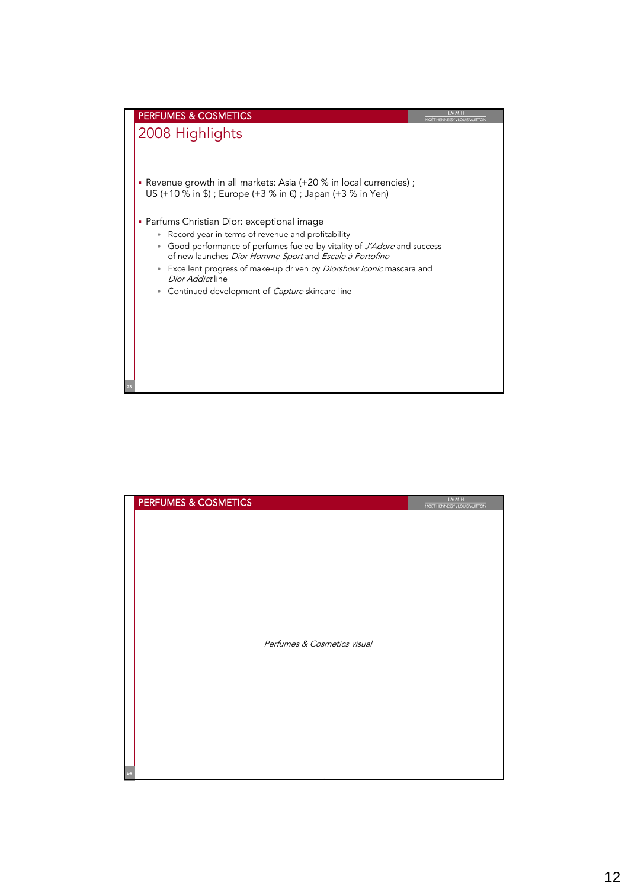

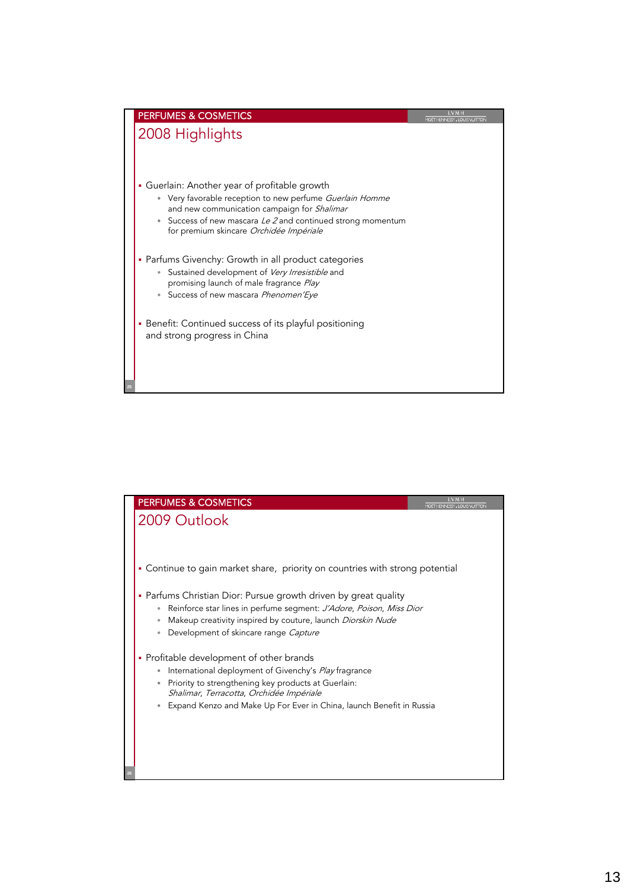

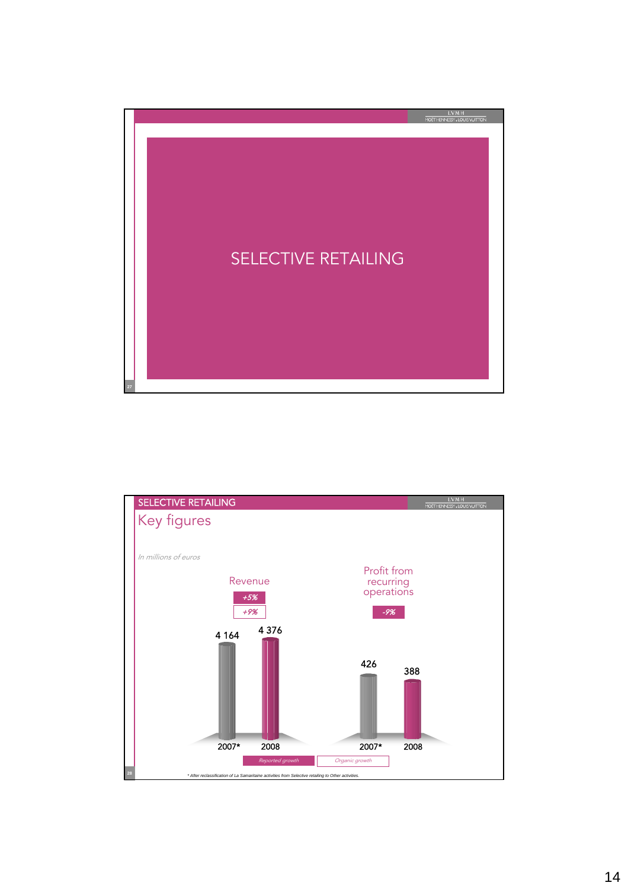

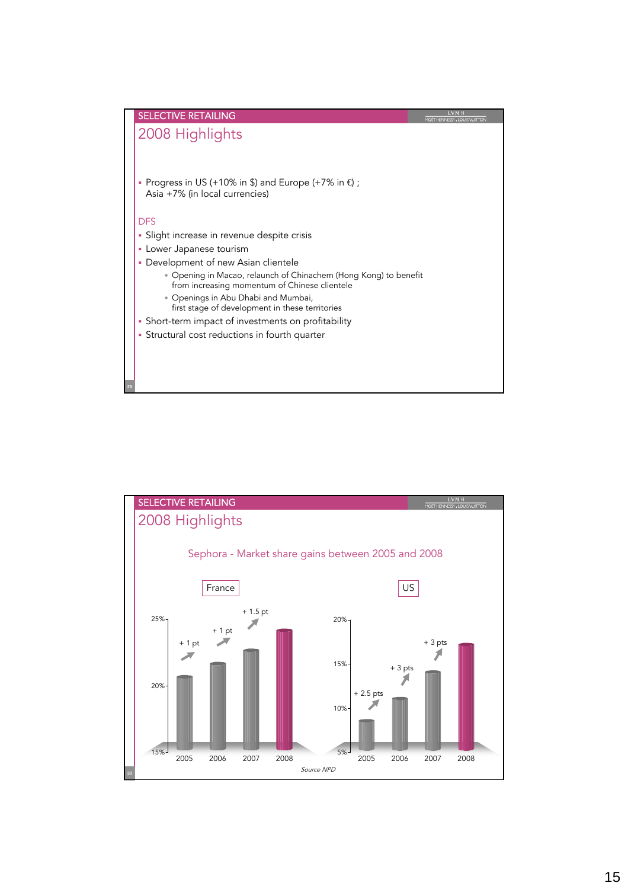

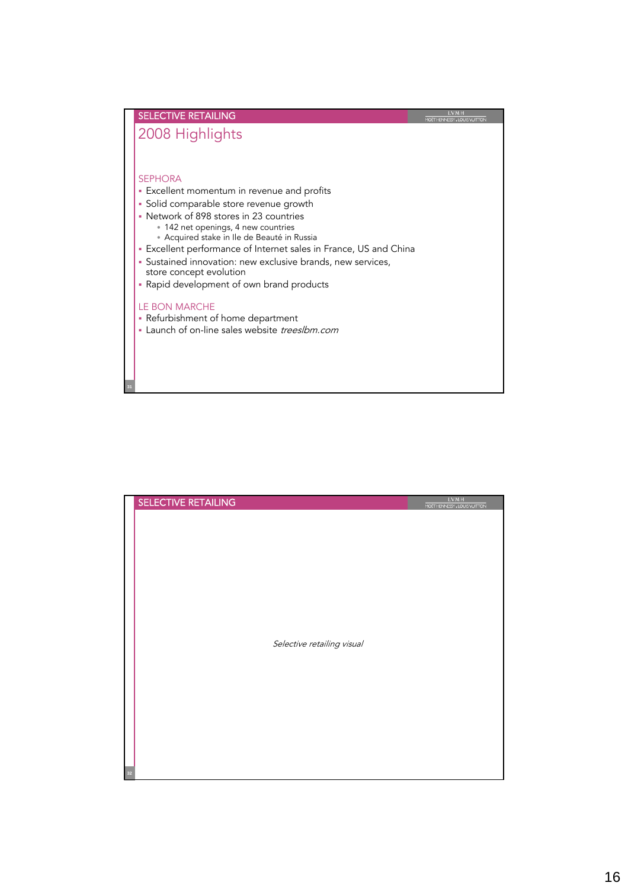

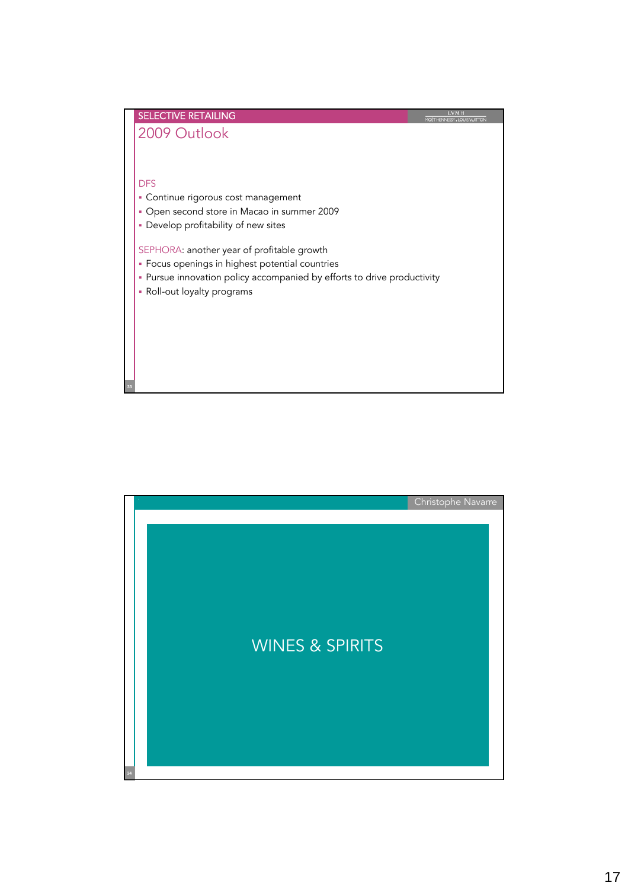

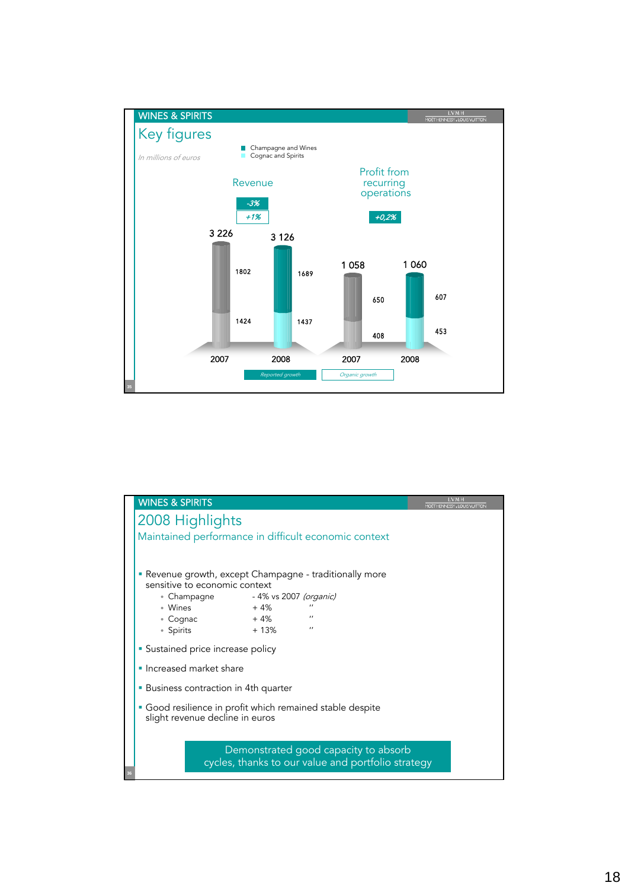

|                                                         | <b>WINES &amp; SPIRITS</b><br>MOET HENNESSY, LOUIS VUITTON |                                                  |        |                                      |  |  |
|---------------------------------------------------------|------------------------------------------------------------|--------------------------------------------------|--------|--------------------------------------|--|--|
| 2008 Highlights                                         |                                                            |                                                  |        |                                      |  |  |
| Maintained performance in difficult economic context    |                                                            |                                                  |        |                                      |  |  |
|                                                         |                                                            |                                                  |        |                                      |  |  |
| • Revenue growth, except Champagne - traditionally more |                                                            |                                                  |        |                                      |  |  |
|                                                         |                                                            | sensitive to economic context                    |        |                                      |  |  |
|                                                         |                                                            | • Champagne               - 4% vs 2007 (organic) |        |                                      |  |  |
|                                                         | • Wines                                                    |                                                  | $+4%$  | $^{\prime}$                          |  |  |
|                                                         | $\degree$ Cognac                                           | $+4\%$                                           |        | $^{\prime}$                          |  |  |
|                                                         | • Spirits                                                  |                                                  | $+13%$ | $\prime$                             |  |  |
|                                                         | • Sustained price increase policy                          |                                                  |        |                                      |  |  |
|                                                         |                                                            | • Increased market share                         |        |                                      |  |  |
|                                                         | • Business contraction in 4th quarter                      |                                                  |        |                                      |  |  |
|                                                         | • Good resilience in profit which remained stable despite  |                                                  |        |                                      |  |  |
|                                                         | slight revenue decline in euros                            |                                                  |        |                                      |  |  |
|                                                         |                                                            |                                                  |        |                                      |  |  |
|                                                         |                                                            |                                                  |        | Demonstrated good capacity to absorb |  |  |
| cycles, thanks to our value and portfolio strategy      |                                                            |                                                  |        |                                      |  |  |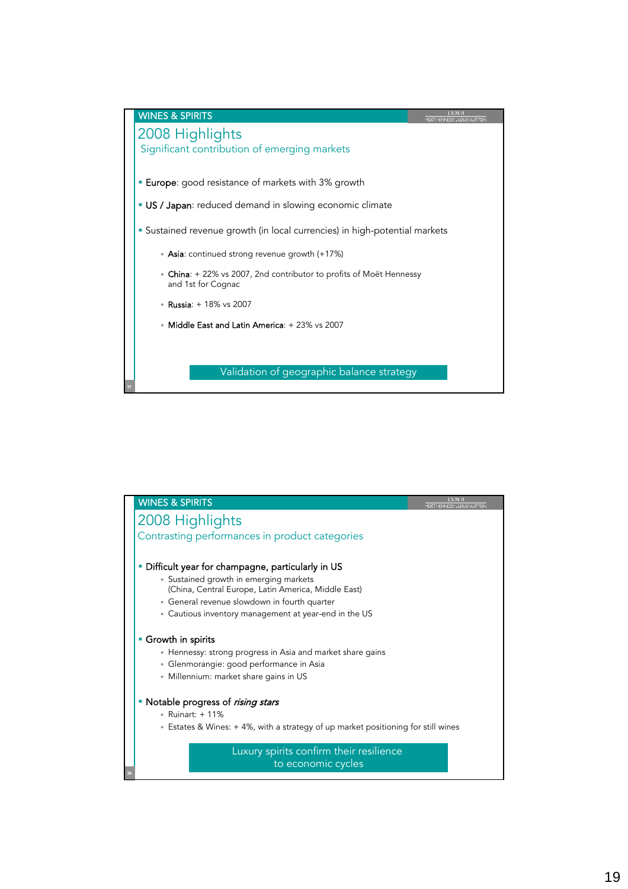

| <b>WINES &amp; SPIRITS</b>                                                                                                                                                                                                                                 | <b>LVMH</b><br>MOET HENNESSY, LOUIS VUITTON |
|------------------------------------------------------------------------------------------------------------------------------------------------------------------------------------------------------------------------------------------------------------|---------------------------------------------|
| 2008 Highlights                                                                                                                                                                                                                                            |                                             |
| Contrasting performances in product categories                                                                                                                                                                                                             |                                             |
| Difficult year for champagne, particularly in US<br>• Sustained growth in emerging markets<br>(China, Central Europe, Latin America, Middle East)<br>• General revenue slowdown in fourth quarter<br>• Cautious inventory management at year-end in the US |                                             |
| Growth in spirits<br>• Hennessy: strong progress in Asia and market share gains<br>· Glenmorangie: good performance in Asia<br>• Millennium: market share gains in US                                                                                      |                                             |
| • Notable progress of rising stars<br>• Ruinart: + 11%<br>• Estates & Wines: +4%, with a strategy of up market positioning for still wines                                                                                                                 |                                             |
| Luxury spirits confirm their resilience<br>to economic cycles                                                                                                                                                                                              |                                             |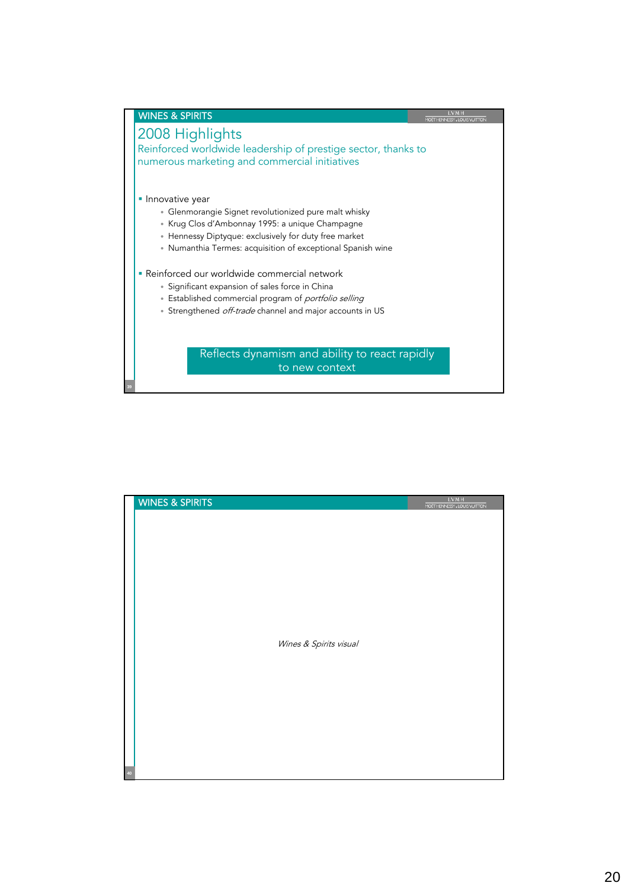

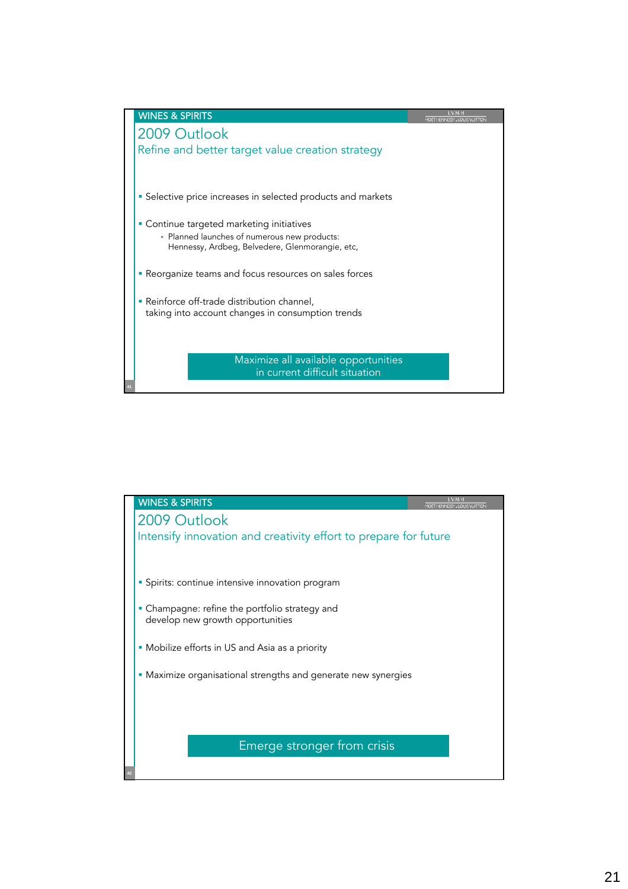

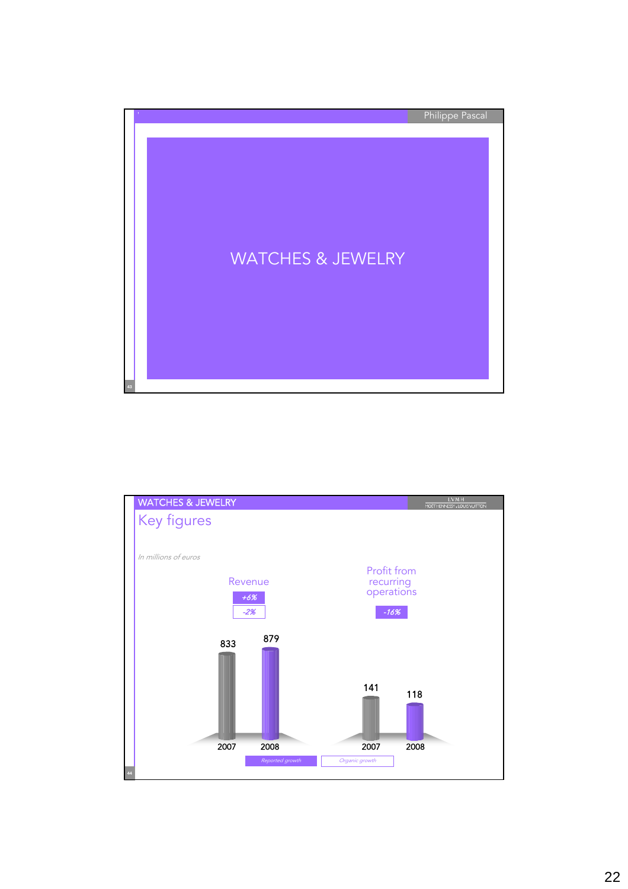

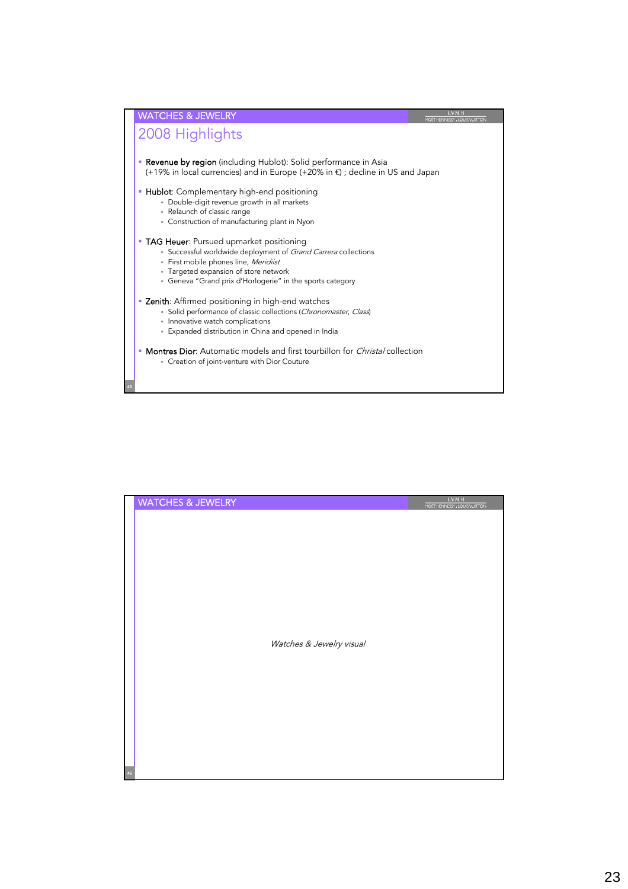

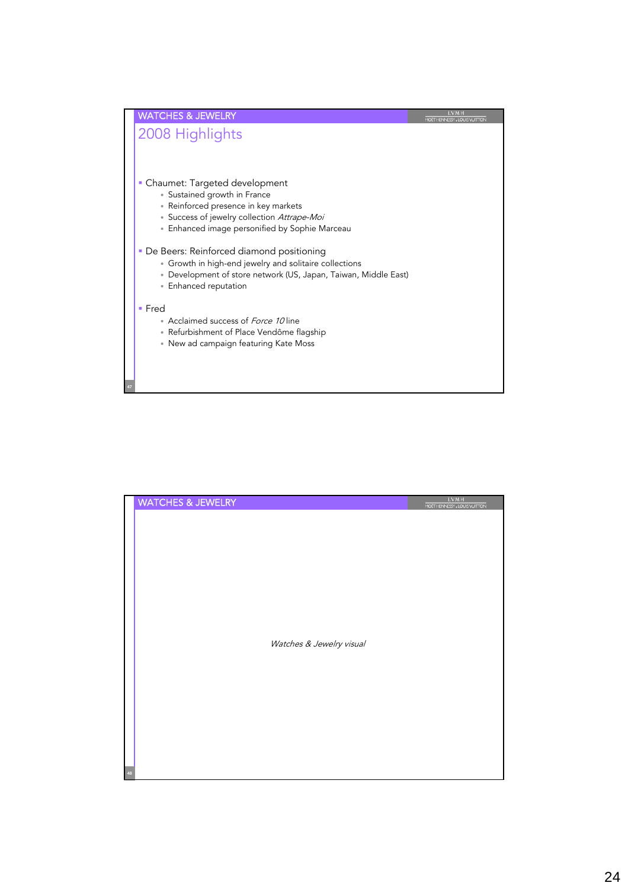

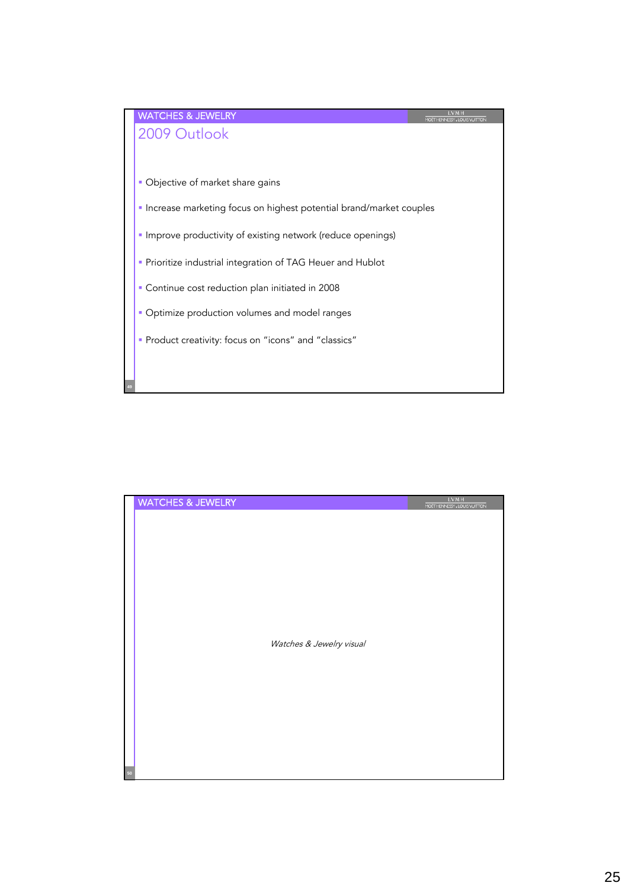

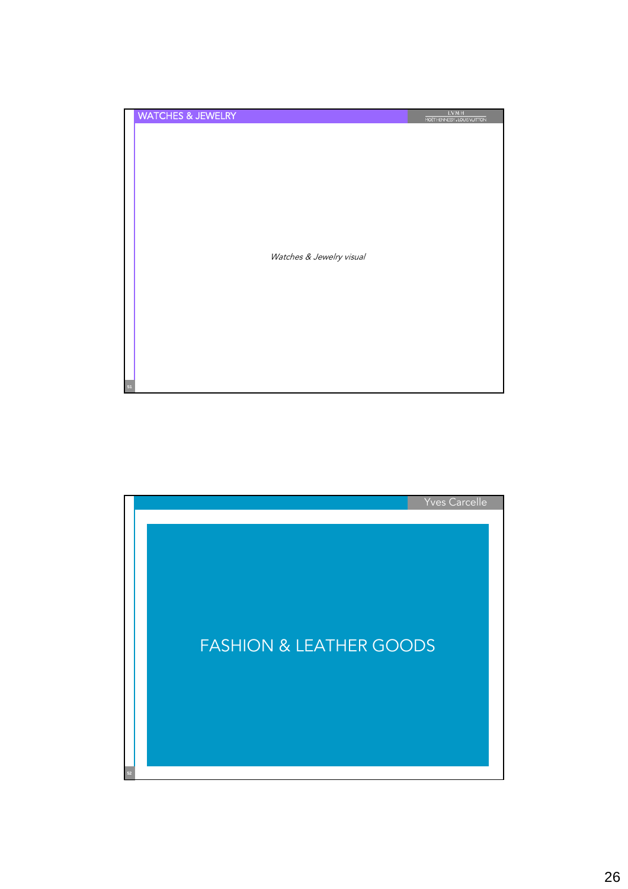| <b>WATCHES &amp; JEWELRY</b> |                          | <b>LVMH</b><br>MOET HENNESSY, LOUIS VUITTON |
|------------------------------|--------------------------|---------------------------------------------|
|                              |                          |                                             |
|                              |                          |                                             |
|                              |                          |                                             |
|                              |                          |                                             |
|                              |                          |                                             |
|                              |                          |                                             |
|                              |                          |                                             |
|                              | Watches & Jewelry visual |                                             |
|                              |                          |                                             |
|                              |                          |                                             |
|                              |                          |                                             |
|                              |                          |                                             |
|                              |                          |                                             |
|                              |                          |                                             |
|                              |                          |                                             |
| 51                           |                          |                                             |

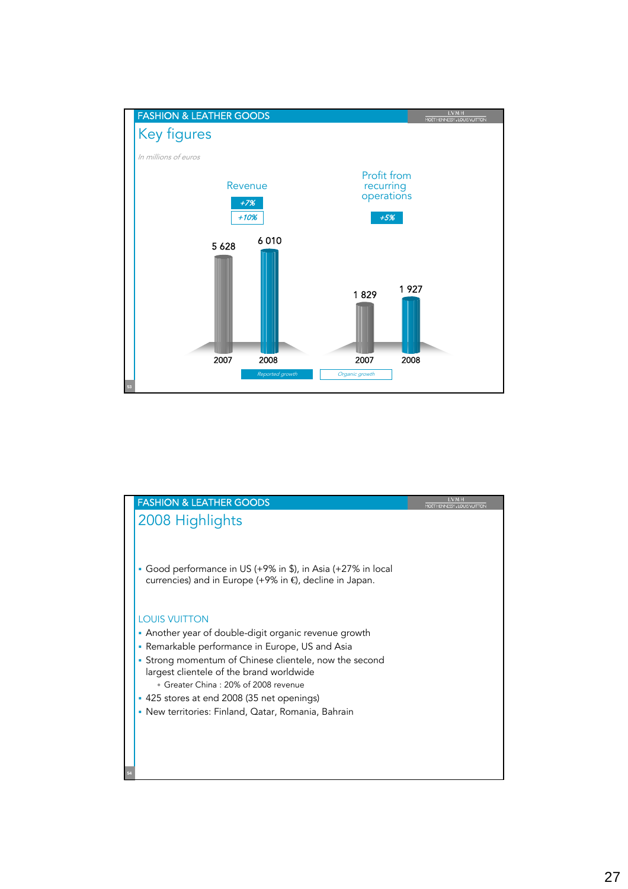

| <b>FASHION &amp; LEATHER GOODS</b>                                                                                                                                                            |  |
|-----------------------------------------------------------------------------------------------------------------------------------------------------------------------------------------------|--|
| 2008 Highlights                                                                                                                                                                               |  |
| • Good performance in US (+9% in \$), in Asia (+27% in local<br>currencies) and in Europe (+9% in €, decline in Japan.                                                                        |  |
| <b>LOUIS VUITTON</b>                                                                                                                                                                          |  |
| • Another year of double-digit organic revenue growth                                                                                                                                         |  |
| • Remarkable performance in Europe, US and Asia<br>• Strong momentum of Chinese clientele, now the second<br>largest clientele of the brand worldwide<br>• Greater China: 20% of 2008 revenue |  |
| • 425 stores at end 2008 (35 net openings)                                                                                                                                                    |  |
| • New territories: Finland, Qatar, Romania, Bahrain                                                                                                                                           |  |
|                                                                                                                                                                                               |  |
|                                                                                                                                                                                               |  |
|                                                                                                                                                                                               |  |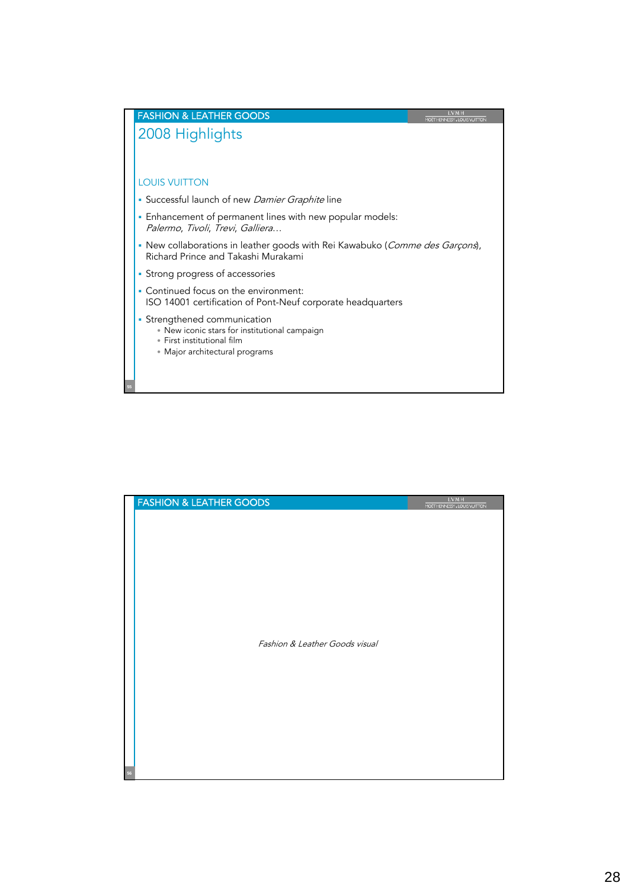

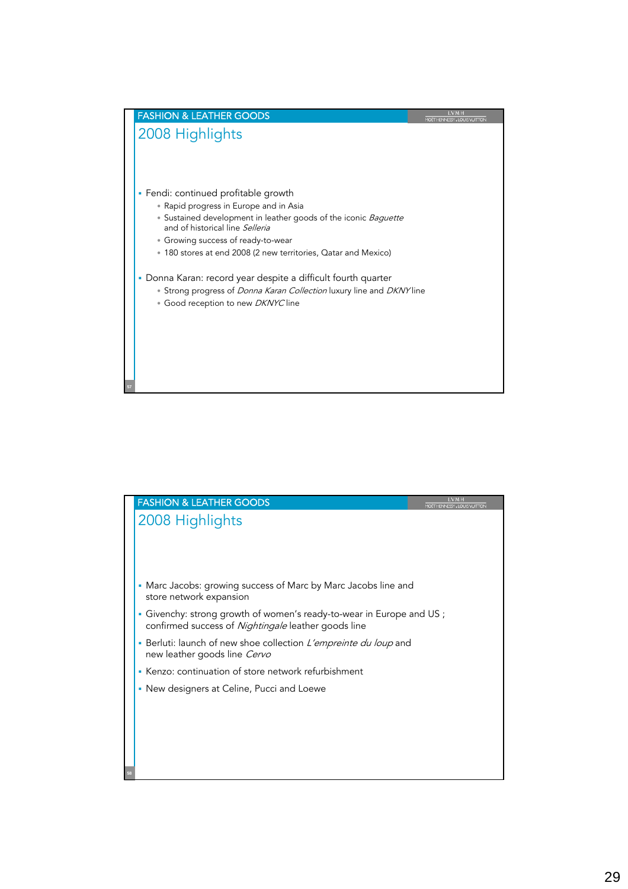